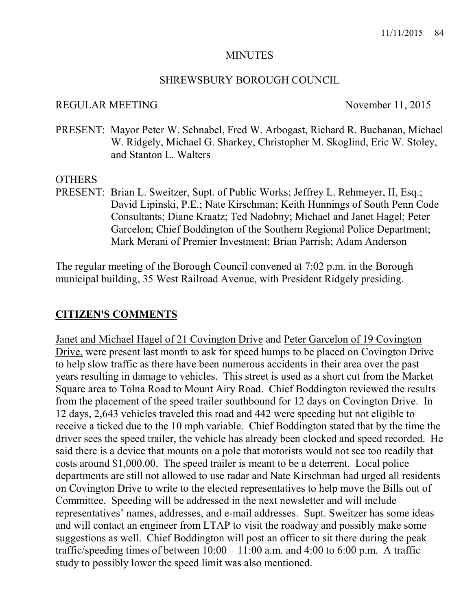#### MINUTES

#### SHREWSBURY BOROUGH COUNCIL

#### REGULAR MEETING November 11, 2015

PRESENT: Mayor Peter W. Schnabel, Fred W. Arbogast, Richard R. Buchanan, Michael W. Ridgely, Michael G. Sharkey, Christopher M. Skoglind, Eric W. Stoley, and Stanton L. Walters

#### **OTHERS**

PRESENT: Brian L. Sweitzer, Supt. of Public Works; Jeffrey L. Rehmeyer, II, Esq.; David Lipinski, P.E.; Nate Kirschman; Keith Hunnings of South Penn Code Consultants; Diane Kraatz; Ted Nadobny; Michael and Janet Hagel; Peter Garcelon; Chief Boddington of the Southern Regional Police Department; Mark Merani of Premier Investment; Brian Parrish; Adam Anderson

The regular meeting of the Borough Council convened at 7:02 p.m. in the Borough municipal building, 35 West Railroad Avenue, with President Ridgely presiding.

#### CITIZEN'S COMMENTS

Janet and Michael Hagel of 21 Covington Drive and Peter Garcelon of 19 Covington Drive, were present last month to ask for speed humps to be placed on Covington Drive to help slow traffic as there have been numerous accidents in their area over the past years resulting in damage to vehicles. This street is used as a short cut from the Market Square area to Tolna Road to Mount Airy Road. Chief Boddington reviewed the results from the placement of the speed trailer southbound for 12 days on Covington Drive. In 12 days, 2,643 vehicles traveled this road and 442 were speeding but not eligible to receive a ticked due to the 10 mph variable. Chief Boddington stated that by the time the driver sees the speed trailer, the vehicle has already been clocked and speed recorded. He said there is a device that mounts on a pole that motorists would not see too readily that costs around \$1,000.00. The speed trailer is meant to be a deterrent. Local police departments are still not allowed to use radar and Nate Kirschman had urged all residents on Covington Drive to write to the elected representatives to help move the Bills out of Committee. Speeding will be addressed in the next newsletter and will include representatives' names, addresses, and e-mail addresses. Supt. Sweitzer has some ideas and will contact an engineer from LTAP to visit the roadway and possibly make some suggestions as well. Chief Boddington will post an officer to sit there during the peak traffic/speeding times of between  $10:00 - 11:00$  a.m. and  $4:00$  to  $6:00$  p.m. A traffic study to possibly lower the speed limit was also mentioned.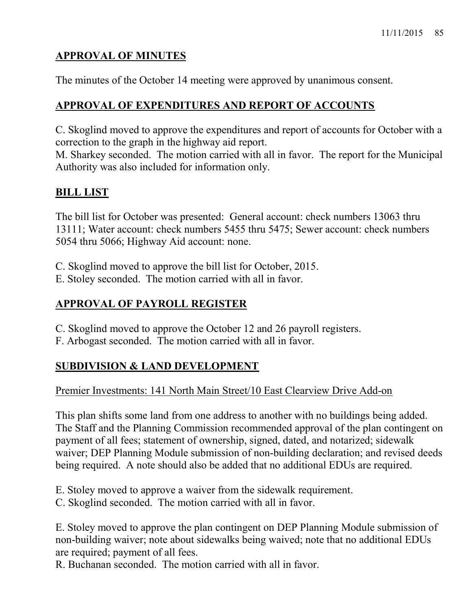# APPROVAL OF MINUTES

The minutes of the October 14 meeting were approved by unanimous consent.

# APPROVAL OF EXPENDITURES AND REPORT OF ACCOUNTS

C. Skoglind moved to approve the expenditures and report of accounts for October with a correction to the graph in the highway aid report.

M. Sharkey seconded. The motion carried with all in favor. The report for the Municipal Authority was also included for information only.

# BILL LIST

The bill list for October was presented: General account: check numbers 13063 thru 13111; Water account: check numbers 5455 thru 5475; Sewer account: check numbers 5054 thru 5066; Highway Aid account: none.

C. Skoglind moved to approve the bill list for October, 2015.

E. Stoley seconded. The motion carried with all in favor.

# APPROVAL OF PAYROLL REGISTER

- C. Skoglind moved to approve the October 12 and 26 payroll registers.
- F. Arbogast seconded. The motion carried with all in favor.

# SUBDIVISION & LAND DEVELOPMENT

Premier Investments: 141 North Main Street/10 East Clearview Drive Add-on

This plan shifts some land from one address to another with no buildings being added. The Staff and the Planning Commission recommended approval of the plan contingent on payment of all fees; statement of ownership, signed, dated, and notarized; sidewalk waiver; DEP Planning Module submission of non-building declaration; and revised deeds being required. A note should also be added that no additional EDUs are required.

E. Stoley moved to approve a waiver from the sidewalk requirement.

C. Skoglind seconded. The motion carried with all in favor.

E. Stoley moved to approve the plan contingent on DEP Planning Module submission of non-building waiver; note about sidewalks being waived; note that no additional EDUs are required; payment of all fees.

R. Buchanan seconded. The motion carried with all in favor.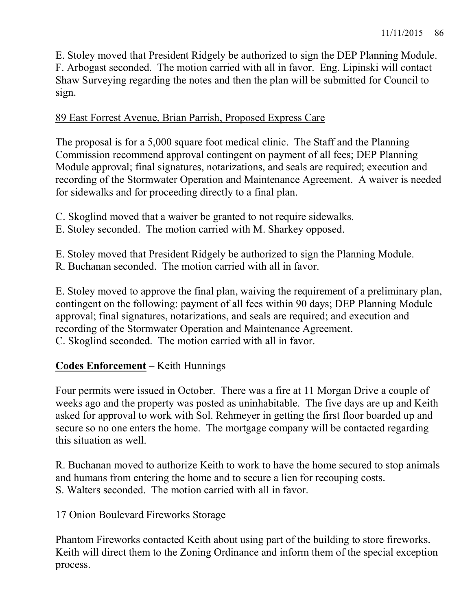E. Stoley moved that President Ridgely be authorized to sign the DEP Planning Module. F. Arbogast seconded. The motion carried with all in favor. Eng. Lipinski will contact Shaw Surveying regarding the notes and then the plan will be submitted for Council to sign.

### 89 East Forrest Avenue, Brian Parrish, Proposed Express Care

The proposal is for a 5,000 square foot medical clinic. The Staff and the Planning Commission recommend approval contingent on payment of all fees; DEP Planning Module approval; final signatures, notarizations, and seals are required; execution and recording of the Stormwater Operation and Maintenance Agreement. A waiver is needed for sidewalks and for proceeding directly to a final plan.

- C. Skoglind moved that a waiver be granted to not require sidewalks.
- E. Stoley seconded. The motion carried with M. Sharkey opposed.

E. Stoley moved that President Ridgely be authorized to sign the Planning Module. R. Buchanan seconded. The motion carried with all in favor.

E. Stoley moved to approve the final plan, waiving the requirement of a preliminary plan, contingent on the following: payment of all fees within 90 days; DEP Planning Module approval; final signatures, notarizations, and seals are required; and execution and recording of the Stormwater Operation and Maintenance Agreement. C. Skoglind seconded. The motion carried with all in favor.

# Codes Enforcement – Keith Hunnings

Four permits were issued in October. There was a fire at 11 Morgan Drive a couple of weeks ago and the property was posted as uninhabitable. The five days are up and Keith asked for approval to work with Sol. Rehmeyer in getting the first floor boarded up and secure so no one enters the home. The mortgage company will be contacted regarding this situation as well.

R. Buchanan moved to authorize Keith to work to have the home secured to stop animals and humans from entering the home and to secure a lien for recouping costs. S. Walters seconded. The motion carried with all in favor.

# 17 Onion Boulevard Fireworks Storage

Phantom Fireworks contacted Keith about using part of the building to store fireworks. Keith will direct them to the Zoning Ordinance and inform them of the special exception process.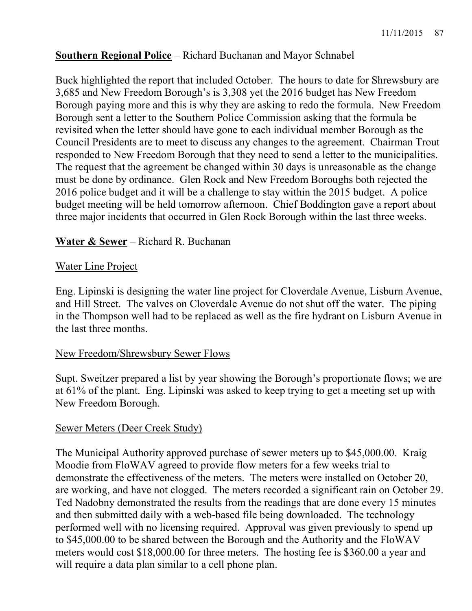# Southern Regional Police – Richard Buchanan and Mayor Schnabel

Buck highlighted the report that included October. The hours to date for Shrewsbury are 3,685 and New Freedom Borough's is 3,308 yet the 2016 budget has New Freedom Borough paying more and this is why they are asking to redo the formula. New Freedom Borough sent a letter to the Southern Police Commission asking that the formula be revisited when the letter should have gone to each individual member Borough as the Council Presidents are to meet to discuss any changes to the agreement. Chairman Trout responded to New Freedom Borough that they need to send a letter to the municipalities. The request that the agreement be changed within 30 days is unreasonable as the change must be done by ordinance. Glen Rock and New Freedom Boroughs both rejected the 2016 police budget and it will be a challenge to stay within the 2015 budget. A police budget meeting will be held tomorrow afternoon. Chief Boddington gave a report about three major incidents that occurred in Glen Rock Borough within the last three weeks.

# Water & Sewer – Richard R. Buchanan

### Water Line Project

Eng. Lipinski is designing the water line project for Cloverdale Avenue, Lisburn Avenue, and Hill Street. The valves on Cloverdale Avenue do not shut off the water. The piping in the Thompson well had to be replaced as well as the fire hydrant on Lisburn Avenue in the last three months.

#### New Freedom/Shrewsbury Sewer Flows

Supt. Sweitzer prepared a list by year showing the Borough's proportionate flows; we are at 61% of the plant. Eng. Lipinski was asked to keep trying to get a meeting set up with New Freedom Borough.

#### Sewer Meters (Deer Creek Study)

The Municipal Authority approved purchase of sewer meters up to \$45,000.00. Kraig Moodie from FloWAV agreed to provide flow meters for a few weeks trial to demonstrate the effectiveness of the meters. The meters were installed on October 20, are working, and have not clogged. The meters recorded a significant rain on October 29. Ted Nadobny demonstrated the results from the readings that are done every 15 minutes and then submitted daily with a web-based file being downloaded. The technology performed well with no licensing required. Approval was given previously to spend up to \$45,000.00 to be shared between the Borough and the Authority and the FloWAV meters would cost \$18,000.00 for three meters. The hosting fee is \$360.00 a year and will require a data plan similar to a cell phone plan.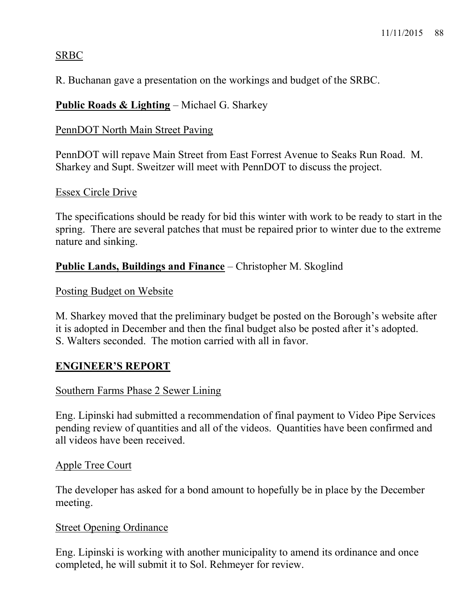# SRBC

R. Buchanan gave a presentation on the workings and budget of the SRBC.

# Public Roads & Lighting - Michael G. Sharkey

# PennDOT North Main Street Paving

PennDOT will repave Main Street from East Forrest Avenue to Seaks Run Road. M. Sharkey and Supt. Sweitzer will meet with PennDOT to discuss the project.

### Essex Circle Drive

The specifications should be ready for bid this winter with work to be ready to start in the spring. There are several patches that must be repaired prior to winter due to the extreme nature and sinking.

# Public Lands, Buildings and Finance – Christopher M. Skoglind

# Posting Budget on Website

M. Sharkey moved that the preliminary budget be posted on the Borough's website after it is adopted in December and then the final budget also be posted after it's adopted. S. Walters seconded. The motion carried with all in favor.

# ENGINEER'S REPORT

#### Southern Farms Phase 2 Sewer Lining

Eng. Lipinski had submitted a recommendation of final payment to Video Pipe Services pending review of quantities and all of the videos. Quantities have been confirmed and all videos have been received.

# Apple Tree Court

The developer has asked for a bond amount to hopefully be in place by the December meeting.

#### Street Opening Ordinance

Eng. Lipinski is working with another municipality to amend its ordinance and once completed, he will submit it to Sol. Rehmeyer for review.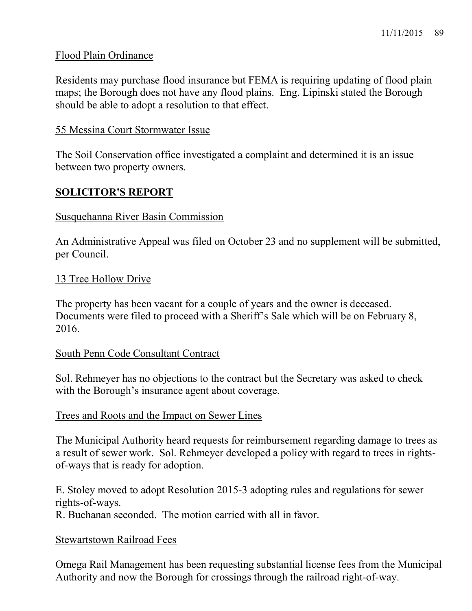### Flood Plain Ordinance

Residents may purchase flood insurance but FEMA is requiring updating of flood plain maps; the Borough does not have any flood plains. Eng. Lipinski stated the Borough should be able to adopt a resolution to that effect.

#### 55 Messina Court Stormwater Issue

The Soil Conservation office investigated a complaint and determined it is an issue between two property owners.

# SOLICITOR'S REPORT

#### Susquehanna River Basin Commission

An Administrative Appeal was filed on October 23 and no supplement will be submitted, per Council.

### 13 Tree Hollow Drive

The property has been vacant for a couple of years and the owner is deceased. Documents were filed to proceed with a Sheriff's Sale which will be on February 8, 2016.

#### South Penn Code Consultant Contract

Sol. Rehmeyer has no objections to the contract but the Secretary was asked to check with the Borough's insurance agent about coverage.

#### Trees and Roots and the Impact on Sewer Lines

The Municipal Authority heard requests for reimbursement regarding damage to trees as a result of sewer work. Sol. Rehmeyer developed a policy with regard to trees in rightsof-ways that is ready for adoption.

E. Stoley moved to adopt Resolution 2015-3 adopting rules and regulations for sewer rights-of-ways.

R. Buchanan seconded. The motion carried with all in favor.

#### Stewartstown Railroad Fees

Omega Rail Management has been requesting substantial license fees from the Municipal Authority and now the Borough for crossings through the railroad right-of-way.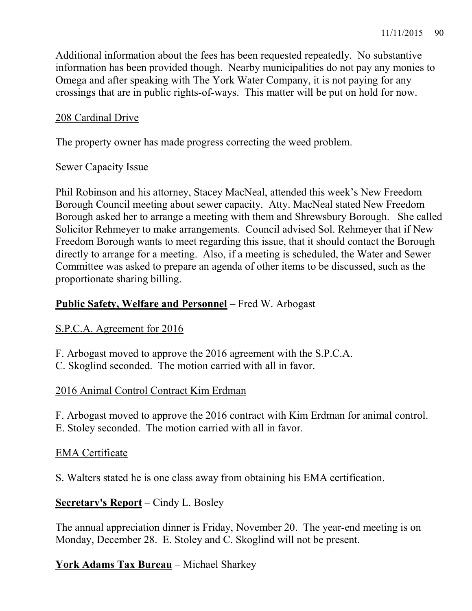Additional information about the fees has been requested repeatedly. No substantive information has been provided though. Nearby municipalities do not pay any monies to Omega and after speaking with The York Water Company, it is not paying for any crossings that are in public rights-of-ways. This matter will be put on hold for now.

# 208 Cardinal Drive

The property owner has made progress correcting the weed problem.

# Sewer Capacity Issue

Phil Robinson and his attorney, Stacey MacNeal, attended this week's New Freedom Borough Council meeting about sewer capacity. Atty. MacNeal stated New Freedom Borough asked her to arrange a meeting with them and Shrewsbury Borough. She called Solicitor Rehmeyer to make arrangements. Council advised Sol. Rehmeyer that if New Freedom Borough wants to meet regarding this issue, that it should contact the Borough directly to arrange for a meeting. Also, if a meeting is scheduled, the Water and Sewer Committee was asked to prepare an agenda of other items to be discussed, such as the proportionate sharing billing.

# Public Safety, Welfare and Personnel – Fred W. Arbogast

# S.P.C.A. Agreement for 2016

F. Arbogast moved to approve the 2016 agreement with the S.P.C.A.

C. Skoglind seconded. The motion carried with all in favor.

# 2016 Animal Control Contract Kim Erdman

F. Arbogast moved to approve the 2016 contract with Kim Erdman for animal control. E. Stoley seconded. The motion carried with all in favor.

# EMA Certificate

S. Walters stated he is one class away from obtaining his EMA certification.

# Secretary's Report – Cindy L. Bosley

The annual appreciation dinner is Friday, November 20. The year-end meeting is on Monday, December 28. E. Stoley and C. Skoglind will not be present.

# York Adams Tax Bureau – Michael Sharkey